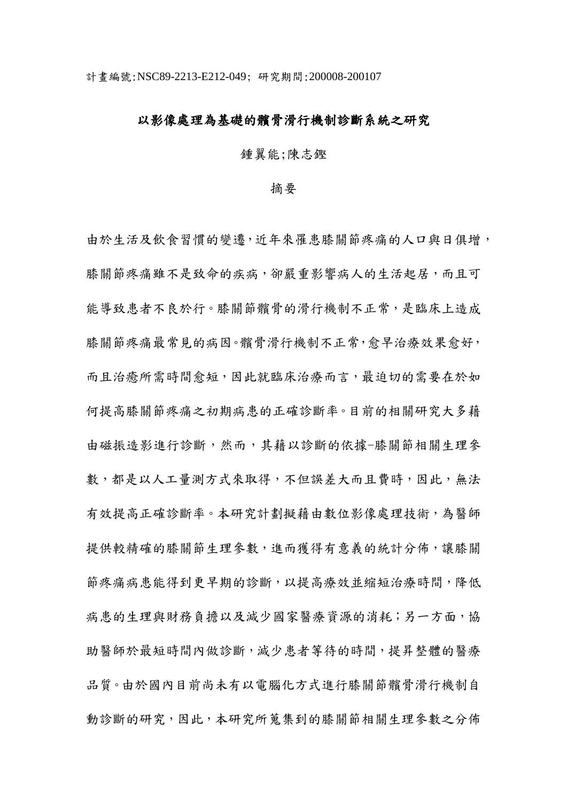### 以影像處理為基礎的髕骨滑行機制診斷系統之研究

### 鍾翼能;陳志鏗

#### 摘要

由於生活及飲食習慣的變遷,近年來罹患膝關節疼痛的人口與日俱增, 膝關節疼痛雖不是致命的疾病,卻嚴重影響病人的生活起居,而且可 能導致患者不良於行。膝關節髕骨的滑行機制不正常,是臨床上造成 膝關節疼痛最常見的病因。髕骨滑行機制不正常,愈早治療效果愈好, 而且治癒所需時間愈短,因此就臨床治療而言,最迫切的需要在於如 何提高膝關節疼痛之初期病患的正確診斷率。目前的相關研究大多藉 由磁振造影進行診斷,然而,其藉以診斷的依據-膝關節相關生理參 數,都是以人工量測方式來取得,不但誤差大而且費時,因此,無法 有效提高正確診斷率。本研究計劃擬藉由數位影像處理技術,為醫師 提供較精確的膝關節生理參數,進而獲得有意義的統計分佈,讓膝關 節疼痛病患能得到更早期的診斷,以提高療效並縮短治療時間,降低 病患的生理與財務負擔以及減少國家醫療資源的消耗;另一方面,協 助醫師於最短時間內做診斷,減少患者等待的時間,提昇整體的醫療 品質。由於國內目前尚未有以電腦化方式進行膝關節髕骨滑行機制自 動診斷的研究,因此,本研究所蒐集到的膝關節相關生理參數之分佈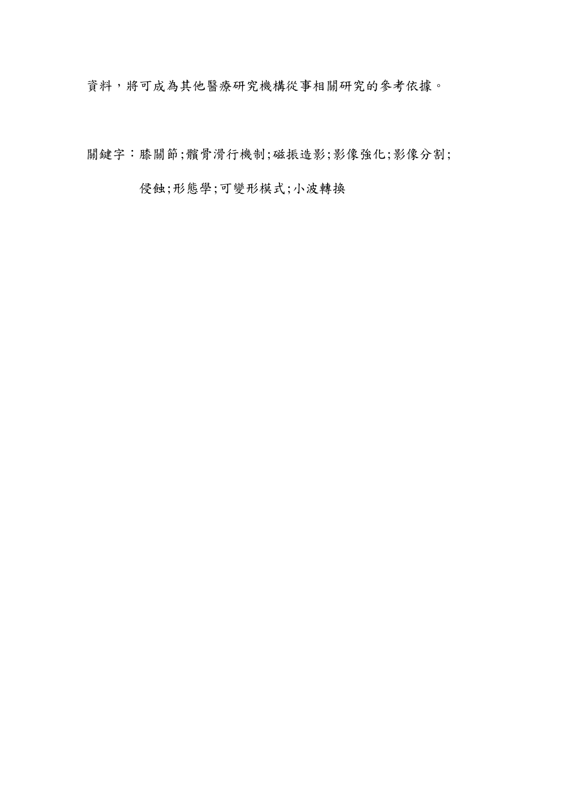資料,將可成為其他醫療研究機構從事相關研究的參考依據。

關鍵字:膝關節; 髖骨滑行機制;磁振造影;影像強化;影像分割;

侵蝕;形態學;可變形模式;小波轉換